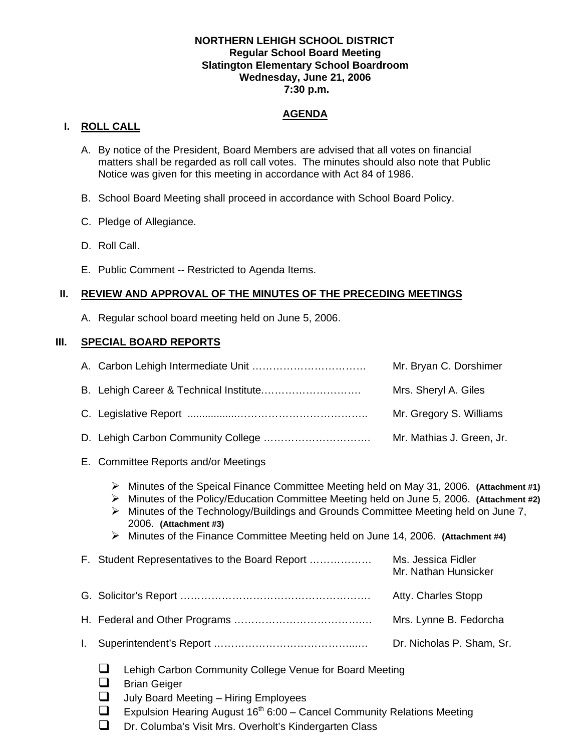## **NORTHERN LEHIGH SCHOOL DISTRICT Regular School Board Meeting Slatington Elementary School Boardroom Wednesday, June 21, 2006 7:30 p.m.**

# **AGENDA**

# **I. ROLL CALL**

- A. By notice of the President, Board Members are advised that all votes on financial matters shall be regarded as roll call votes. The minutes should also note that Public Notice was given for this meeting in accordance with Act 84 of 1986.
- B. School Board Meeting shall proceed in accordance with School Board Policy.
- C. Pledge of Allegiance.
- D. Roll Call.
- E. Public Comment -- Restricted to Agenda Items.

# **II. REVIEW AND APPROVAL OF THE MINUTES OF THE PRECEDING MEETINGS**

A. Regular school board meeting held on June 5, 2006.

# **III. SPECIAL BOARD REPORTS**

|  | Mr. Bryan C. Dorshimer    |
|--|---------------------------|
|  | Mrs. Sheryl A. Giles      |
|  | Mr. Gregory S. Williams   |
|  | Mr. Mathias J. Green, Jr. |

- E. Committee Reports and/or Meetings
	- ¾ Minutes of the Speical Finance Committee Meeting held on May 31, 2006. **(Attachment #1)**
	- ¾ Minutes of the Policy/Education Committee Meeting held on June 5, 2006. **(Attachment #2)**
	- ¾ Minutes of the Technology/Buildings and Grounds Committee Meeting held on June 7, 2006. **(Attachment #3)**
	- ¾ Minutes of the Finance Committee Meeting held on June 14, 2006. **(Attachment #4)**
- F. Student Representatives to the Board Report ……………… Ms. Jessica Fidler Mr. Nathan Hunsicker G. Solicitor's Report ………………………………………………. Atty. Charles Stopp H. Federal and Other Programs ……………………………….… Mrs. Lynne B. Fedorcha I. Superintendent's Report …………………………………...… Dr. Nicholas P. Sham, Sr.
	- $\Box$  Lehigh Carbon Community College Venue for Board Meeting
	- **Brian Geiger**
	- $\Box$  July Board Meeting Hiring Employees
	- **Expulsion Hearing August 16<sup>th</sup> 6:00 Cancel Community Relations Meeting**
	- $\Box$  Dr. Columba's Visit Mrs. Overholt's Kindergarten Class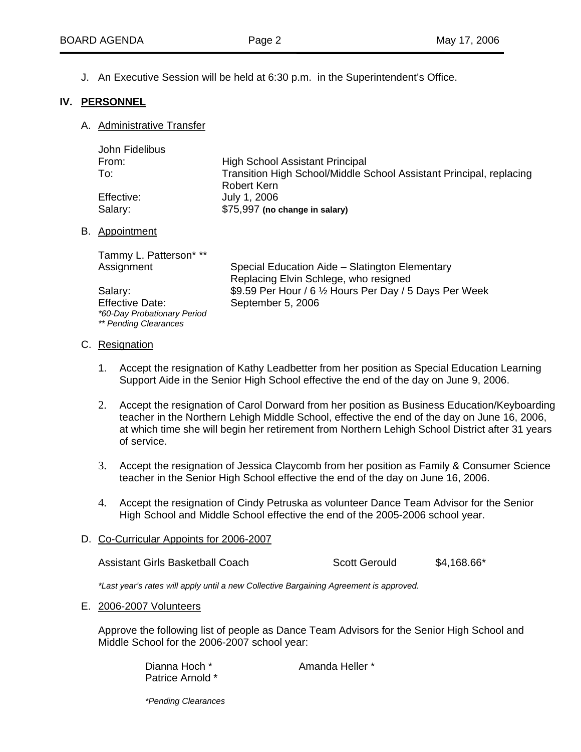J. An Executive Session will be held at 6:30 p.m. in the Superintendent's Office.

## **IV. PERSONNEL**

A. Administrative Transfer

| John Fidelibus |                                                                     |
|----------------|---------------------------------------------------------------------|
| From:          | <b>High School Assistant Principal</b>                              |
| To:            | Transition High School/Middle School Assistant Principal, replacing |
|                | Robert Kern                                                         |
| Effective:     | July 1, 2006                                                        |
| Salary:        | \$75,997 (no change in salary)                                      |
|                |                                                                     |

#### B. Appointment

| Tammy L. Patterson* **      |                                                         |
|-----------------------------|---------------------------------------------------------|
| Assignment                  | Special Education Aide - Slatington Elementary          |
|                             | Replacing Elvin Schlege, who resigned                   |
| Salary:                     | \$9.59 Per Hour / 6 1/2 Hours Per Day / 5 Days Per Week |
| <b>Effective Date:</b>      | September 5, 2006                                       |
| *60-Day Probationary Period |                                                         |
| ** Pending Clearances       |                                                         |

#### C. Resignation

- 1. Accept the resignation of Kathy Leadbetter from her position as Special Education Learning Support Aide in the Senior High School effective the end of the day on June 9, 2006.
- . 2 Accept the resignation of Carol Dorward from her position as Business Education/Keyboarding at which time she will begin her retirement from Northern Lehigh School District after 31 years of service. teacher in the Northern Lehigh Middle School, effective the end of the day on June 16, 2006,
- 3. Accept the resignation of Jessica Claycomb from her position as Family & Consumer Science teacher in the Senior High School effective the end of the day on June 16, 2006.
- 4. Accept the resignation of Cindy Petruska as volunteer Dance Team Advisor for the Senior High School and Middle School effective the end of the 2005-2006 school year.

#### D. Co-Curricular Appoints for 2006-2007

| Assistant Girls Basketball Coach | Scott Gerould | $$4,168.66*$ |
|----------------------------------|---------------|--------------|
|----------------------------------|---------------|--------------|

\*Last year's rates will apply until a new Collective Bargaining Agreement is approved.

#### E. 2006-2007 Volunteers

Approve the following list of people as Dance Team Advisors for the Senior High School and Middle School for the 2006-2007 school year:

> Amanda Heller \* Patrice Arnold \* Dianna Hoch \*

*\*Pending Clearances*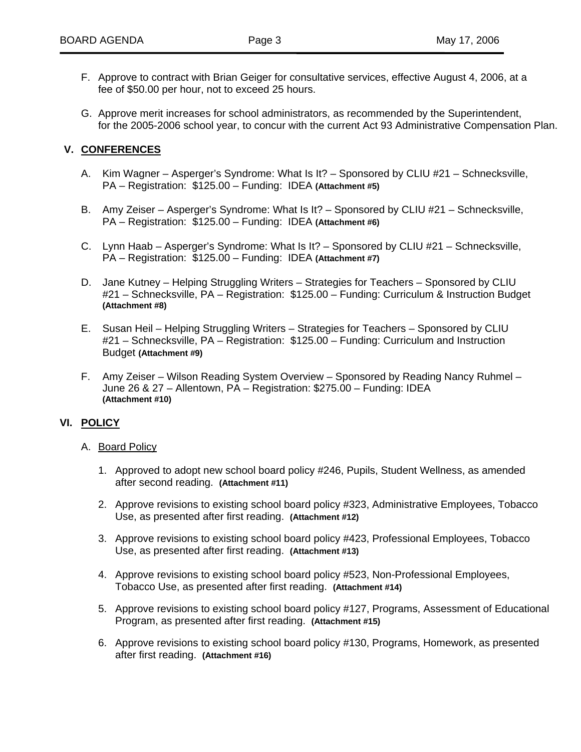- F. Approve to contract with Brian Geiger for consultative services, effective August 4, 2006, at a fee of \$50.00 per hour, not to exceed 25 hours.
- G. Approve merit increases for school administrators, as recommended by the Superintendent, for the 2005-2006 school year, to concur with the current Act 93 Administrative Compensation Plan.

#### **. CONFERENCES V**

- A. Kim Wagner Asperger's Syndrome: What Is It? Sponsored by CLIU #21 Schnecksville, PA – Registration: \$125.00 – Funding: IDEA **(Attachment #5)**
- B. Amy Zeiser Asperger's Syndrome: What Is It? Sponsored by CLIU #21 Schnecksville, PA – Registration: \$125.00 – Funding: IDEA **(Attachment #6)**
- C. Lynn Haab Asperger's Syndrome: What Is It? Sponsored by CLIU #21 Schnecksville, PA – Registration: \$125.00 – Funding: IDEA **(Attachment #7)**
- D. Jane Kutney Helping Struggling Writers Strategies for Teachers Sponsored by CLIU #21 – Schnecksville, PA – Registration: \$125.00 – Funding: Curriculum & Instruction Budget **(Attachment #8)**
- E. Susan Heil Helping Struggling Writers Strategies for Teachers Sponsored by CLIU #21 – Schnecksville, PA – Registration: \$125.00 – Funding: Curriculum and Instruction Budget **(Attachment #9)**
- F. Amy Zeiser Wilson Reading System Overview Sponsored by Reading Nancy Ruhmel June 26 & 27 – Allentown, PA – Registration: \$275.00 – Funding: IDEA **(Attachment #10)**

## **VI. POLICY**

#### A. Board Policy

- 1. Approved to adopt new school board policy #246, Pupils, Student Wellness, as amended after second reading. **(Attachment #11)**
- 2. Approve revisions to existing school board policy #323, Administrative Employees, Tobacco Use, as presented after first reading. **(Attachment #12)**
- 3. Approve revisions to existing school board policy #423, Professional Employees, Tobacco Use, as presented after first reading. **(Attachment #13)**
- 4. Approve revisions to existing school board policy #523, Non-Professional Employees, Tobacco Use, as presented after first reading. **(Attachment #14)**
- 5. Approve revisions to existing school board policy #127, Programs, Assessment of Educational Program, as presented after first reading. **(Attachment #15)**
- 6. Approve revisions to existing school board policy #130, Programs, Homework, as presented after first reading. **(Attachment #16)**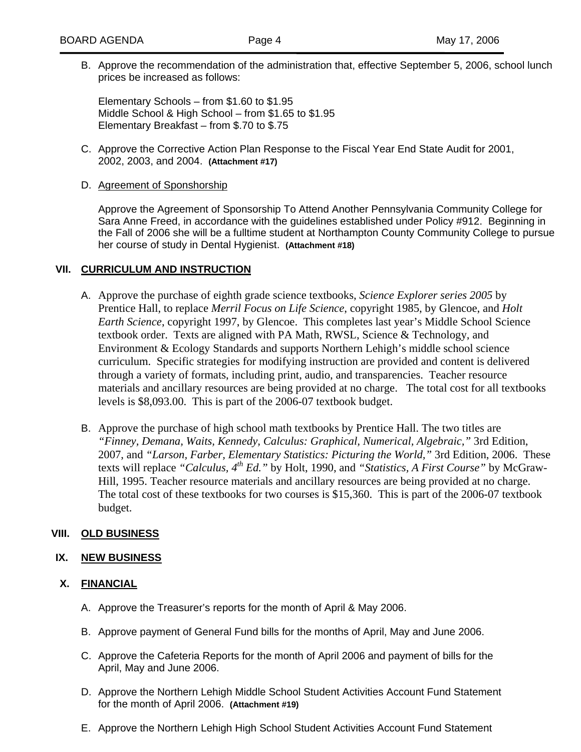B. Approve the recommendation of the administration that, effective September 5, 2006, school lunch prices be increased as follows:

Middle School & High School – from \$1.65 to \$1.95 Elementary Breakfast – from \$.70 to \$.75 Elementary Schools – from \$1.60 to \$1.95

C. Approve the Corrective Action Plan Response to the Fiscal Year End State Audit for 2001, 2002, 2003, and 2004. **(Attachment #17)**

## D. Agreement of Sponshorship

the Fall of 2006 she will be a fulltime student at Northampton County Community College to pursue her course of study in Dental Hygienist. **(Attachment #18)**  Approve the Agreement of Sponsorship To Attend Another Pennsylvania Community College for Sara Anne Freed, in accordance with the guidelines established under Policy #912. Beginning in

## **VII. CURRICULUM AND INSTRUCTION**

- A. Approve the purchase of eighth grade science textbooks, *Science Explorer series 2005* by Earth Science, copyright 1997, by Glencoe. This completes last year's Middle School Science curriculum. Specific strategies for modifying instruction are provided and content is delivered materials and ancillary resources are being provided at no charge. The total cost for all textbooks levels is  $$8,093.00$ . This is part of the 2006-07 textbook budget. Prentice Hall, to replace *Merril Focus on Life Science*, copyright 1985, by Glencoe, and *Holt*  textbook order. Texts are aligned with PA Math, RWSL, Science & Technology, and Environment & Ecology Standards and supports Northern Lehigh's middle school science through a variety of formats, including print, audio, and transparencies. Teacher resource
- B. Approve the purchase of high school math textbooks by Prentice Hall. The two titles are - texts will replace *"Calculus, 4th Ed."* by Holt, 1990, and *"Statistics, A First Course"* by McGraw The total cost of these textbooks for two courses is  $$15,360$ . This is part of the 2006-07 textbook budget. *"Finney, Demana, Waits, Kennedy, Calculus: Graphical, Numerical, Algebraic,"* 3rd Edition, 2007, and *"Larson, Farber, Elementary Statistics: Picturing the World,"* 3rd Edition, 2006. These Hill, 1995. Teacher resource materials and ancillary resources are being provided at no charge.

## **VIII. OLD BUSINESS**

## **IX. NEW BUSINESS**

#### **X. FINANCIAL**

- A. Approve the Treasurer's reports for the month of April & May 2006.
- B. Approve payment of General Fund bills for the months of April, May and June 2006.
- C. Approve the Cafeteria Reports for the month of April 2006 and payment of bills for the April, May and June 2006.
- D. Approve the Northern Lehigh Middle School Student Activities Account Fund Statement **(Attachment #19)** for the month of April 2006.
- E. Approve the Northern Lehigh High School Student Activities Account Fund Statement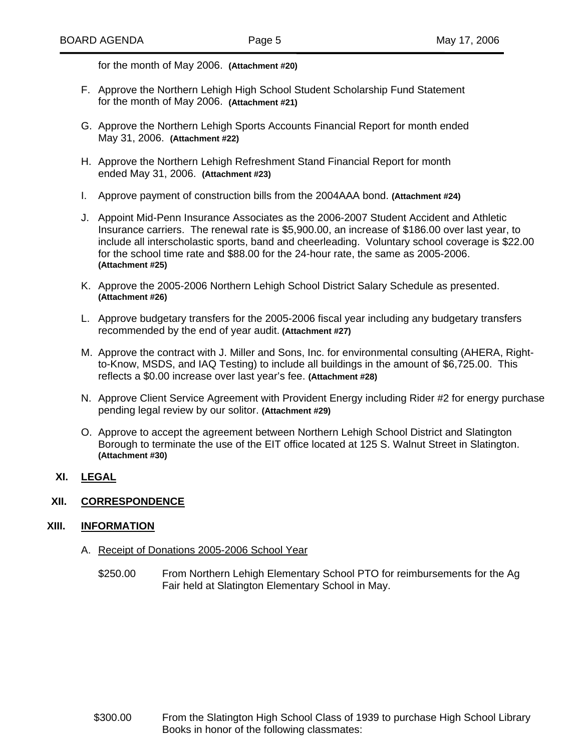for the month of May 2006. **(Attachment #20)**

- F. Approve the Northern Lehigh High School Student Scholarship Fund Statement for the month of May 2006. **(Attachment #21)**
- G. Approve the Northern Lehigh Sports Accounts Financial Report for month ended **(Attachment #22)** May 31, 2006.
- H. Approve the Northern Lehigh Refreshment Stand Financial Report for month ended May 31, 2006. **(Attachment #23)**
- I. Approve payment of construction bills from the 2004AAA bond. **(Attachment #24)**
- J. Appoint Mid-Penn Insurance Associates as the 2006-2007 Student Accident and Athletic include all interscholastic sports, band and cheerleading. Voluntary school coverage is \$22.00 for the school time rate and \$88.00 for the 24-hour rate, the same as 2005-2006. Insurance carriers. The renewal rate is \$5,900.00, an increase of \$186.00 over last year, to **(Attachment #25)**
- K. Approve the 2005-2006 Northern Lehigh School District Salary Schedule as presented. **(Attachment #26)**
- L. Approve budgetary transfers for the 2005-2006 fiscal year including any budgetary transfers recommended by the end of year audit. **(Attachment #27)**
- M. Approve the contract with J. Miller and Sons, Inc. for environmental consulting (AHERA, Rightto-Know, MSDS, and IAQ Testing) to include all buildings in the amount of \$6,725.00. This reflects a \$0.00 increase over last year's fee. **(Attachment #28)**
- N. Approve Client Service Agreement with Provident Energy including Rider #2 for energy purchase pending legal review by our solitor. **(Attachment #29)**
- O. Approve to accept the agreement between Northern Lehigh School District and Slatington Borough to terminate the use of the EIT office located at 125 S. Walnut Street in Slatington. **ment #30) (Attach**
- **XI. LEGAL**

## **XII. CORRESPONDENCE**

#### **XIII. INFORMATION**

- A. Receipt of Donations 2005-2006 School Year
	- \$250.00 From Northern Lehigh Elementary School PTO for reimbursements for the Ag Fair held at Slatington Elementary School in May.